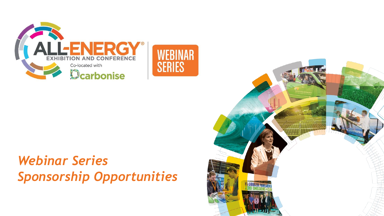

# *Webinar Series Sponsorship Opportunities*

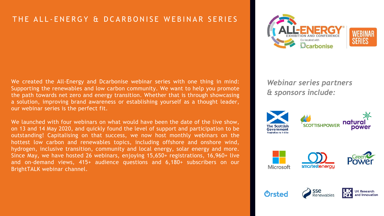### THE ALL-ENERGY & DCARBONISE WEBINAR SERIES

We created the All-Energy and Dcarbonise webinar series with one thing in mind: Supporting the renewables and low carbon community. We want to help you promote the path towards net zero and energy transition. Whether that is through showcasing a solution, improving brand awareness or establishing yourself as a thought leader, our webinar series is the perfect fit.

We launched with four webinars on what would have been the date of the live show, on 13 and 14 May 2020, and quickly found the level of support and participation to be outstanding! Capitalising on that success, we now host monthly webinars on the hottest low carbon and renewables topics, including offshore and onshore wind, hydrogen, inclusive transition, community and local energy, solar energy and more. Since May, we have hosted 26 webinars, enjoying 15,650+ registrations, 16,960+ live and on-demand views, 415+ audience questions and 6,180+ subscribers on our BrightTALK webinar channel.



*Webinar series partners & sponsors include:*



Orsted

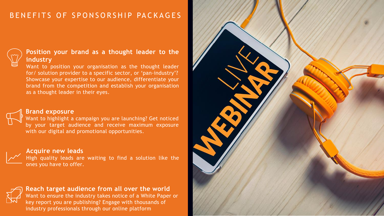### BENEFITS OF SPONSORSHIP PACKAGES



#### **Position your brand as a thought leader to the industry**

Want to position your organisation as the thought leader for/ solution provider to a specific sector, or 'pan-industry'? Showcase your expertise to our audience, differentiate your brand from the competition and establish your organisation as a thought leader in their eyes.



#### **Brand exposure**

Want to highlight a campaign you are launching? Get noticed by your target audience and receive maximum exposure with our digital and promotional opportunities.

#### **Acquire new leads**

High quality leads are waiting to find a solution like the ones you have to offer.



**Reach target audience from all over the world** Want to ensure the industry takes notice of a White Paper or key report you are publishing? Engage with thousands of industry professionals through our online platform

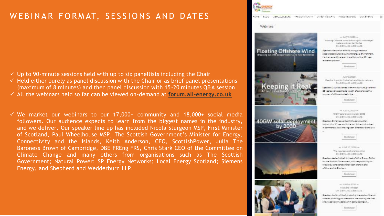## WEBINAR FORMAT, SESSIONS AND DATES

- $\checkmark$  Up to 90-minute sessions held with up to six panellists including the Chair
- $\checkmark$  Held either purely as panel discussion with the Chair or as brief panel presentations (maximum of 8 minutes) and then panel discussion with 15-20 minutes Q&A session
- ✓ All the webinars held so far can be viewed on-demand at **[forum.all-energy.co.uk](https://forum.all-energy.co.uk/category/webinars/)**
- $\checkmark$  We market our webinars to our 17,000+ community and 18,000+ social media followers. Our audience expects to learn from the biggest names in the industry, and we deliver. Our speaker line up has included Nicola Sturgeon MSP, First Minister of Scotland, Paul Wheelhouse MSP, The Scottish Government's Minister for Energy, Connectivity and the Islands, Keith Anderson, CEO, ScottishPower, Julia The Baroness Brown of Cambridge, DBE FREng FRS, Chris Stark CEO of the Committee on Climate Change and many others from organisations such as The Scottish Government; Natural Power; SP Energy Networks; Local Energy Scotland; Siemens Energy, and Shepherd and Wedderburn LLP.

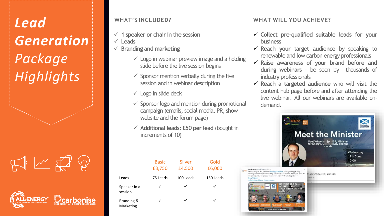# *Lead Generation Package Highlights*

 $\mathbb{R}$   $\mathbb{R}$ 



#### **WHAT'S INCLUDED?**

- ✓ **1 speaker or chair in the session**
- ✓ **Leads**
- ✓ **Branding and marketing**
	- $\checkmark$  Logo in webinar preview image and a holding slide before the live session begins
	- $\checkmark$  Sponsor mention verbally during the live session and in webinar description
	- $\checkmark$  Logo in slide deck
	- $\checkmark$  Sponsor logo and mention during promotional campaign (emails, social media, PR, show website and the forum page)
	- ✓ **Additional leads: £50 per lead** (bought in increments of 10)

|                         | <b>Basic</b><br>£3,750 | Silver<br>£4,500 | Gold<br>£6,000 |
|-------------------------|------------------------|------------------|----------------|
| Leads                   | 75 Leads               | 100 Leads        | 150 Leads      |
| Speaker in a<br>session | ✓                      | ✓                | ✓              |
| Branding &<br>Marketing | ✓                      | ✓                | ✓              |

### **WHAT WILL YOU ACHIEVE?**

- ✓ **Collect pre-qualified suitable leads for your business**
- ✓ **Reach your target audience** by speaking to renewable and low carbon energy professionals
- ✓ **Raise awareness of your brand before and during webinars** - be seen by thousands of industry professionals
- ✓ **Reach a targeted audience** who will visit the content hub page before and after attending the live webinar. All our webinars are available ondemand.

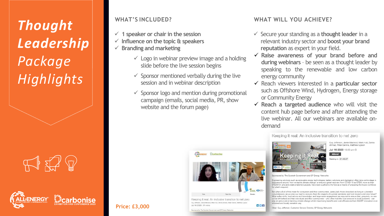# *Thought Leadership Package Highlights*

 $\mathbb{R}$  X1

#### **WHAT'S INCLUDED?**

- ✓ **1 speaker or chair in the session**
- ✓ **Influence on the topic & speakers**
- ✓ **Branding and marketing**
	- $\checkmark$  Logo in webinar preview image and a holding slide before the live session begins
	- $\checkmark$  Sponsor mentioned verbally during the live session and in webinar description
	- $\checkmark$  Sponsor logo and mention during promotional campaign (emails, social media, PR, show website and the forum page)

ALLENERGY Dearbonise

Keeping it real: An inclusive transition to net zero

Guy Jefferson, Jamie Macleod, Mark Hull, Zarina Ahmad, Peter Dennis, Matthew Lipson

#### **WHAT WILL YOU ACHIEVE?**

- ✓ Secure your standing as a **thought leader** in a relevant industry sector and **boost your brand reputation** as expert in your field.
- ✓ **Raise awareness of your brand before and during webinars** – be seen as a thought leader by speaking to the renewable and low carbon energy community
- ✓ Reach viewers interested in a **particular sector** such as Offshore Wind, Hydrogen, Energy storage or Community Energy
- ✓ **Reach a targeted audience** who will visit the content hub page before and after attending the live webinar. All our webinars are available ondemand



Engineering solutions such as renewable energy technologies, battery solutions and digitisation often take centre stage in discussions around 'how we tackle climate change' or ensure a green recovery from COVID-19 as STEM, more so than STEAM (A: arts and creative talents) subjects, have been pushed to the fore as a means of preparing the future workforce

But what will all of this mean for consumers and their communities, particularly those described as living in vulnerable circumstances, as we plan our road to recovery from the impacts of a global pandemic and look toward a net-zero future? What softer-skills, local advice and knowledge, and large-scale engagement are required to ensure that, genuinely, no one will be left behind and that individuals and their communities - who often hold the local answers to local problems - can play an active role in tackling climate change whilst maximising benefits and cost-efficiencies from SMART innovation in an informed and locally sensitive way.

**Price: £3,000** 6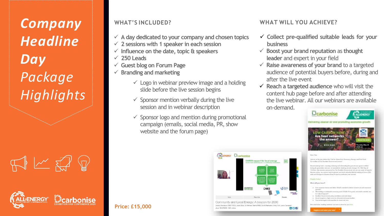*Company Headline Day Package Highlights*

 $\Box$ 

#### **WHAT'S INCLUDED?**

- ✓ **A day dedicated to your company and chosen topics**
- ✓ **2 sessions with 1 speaker in each session**
- ✓ **Influence on the date, topic & speakers**
- ✓ **250 Leads**
- ✓ **Guest blog on Forum Page**
- **Branding and marketing** 
	- $\checkmark$  Logo in webinar preview image and a holding slide before the live session begins
	- $\checkmark$  Sponsor mention verbally during the live session and in webinar description
	- $\checkmark$  Sponsor logo and mention during promotional campaign (emails, social media, PR, show website and the forum page)

ALLENERGY Dcarbonise

 $\bullet$  Q.

**CARES** support for local energ

Community and Local Energy: A beacon for 2030

Jenemy Sainsbury ORE FRICS, Jodie Gles, Dr Afsbeen Restrict MRE, Scott Mathieson, Andy Yull, Laura Cempbel



- ✓ **Collect pre-qualified suitable leads for your business**
- ✓ **Boost your brand reputation** as **thought leader** and expert in your field
- ✓ **Raise awareness of your brand** to a targeted audience of potential buyers before, during and after the live event
- ✓ **Reach a targeted audience** who will visit the content hub page before and after attending the live webinar. All our webinars are available

on-demand.



Join or as the day judge feet 'Call for Direct Fort Engineery, Hangy and Patr Vitals

during the spendenthese would post city was provided by Ambitions citiz-subsections and Cov TRIN After ad-Unified, his results generated by The Rookert Biometerial ad any sat game of organic Autum justice, the southern with a personal work bend restructed back at tendance of terms (GIG) wide and Olivegrade Govern Gong Project in preferate ( and air cost

#### **Financia** Index

 $\ln 24$ 

Mind will put from?

- in . Since receives have a post attract Mouth resoluti to stations
- v . Mendeling a marketastic convergand 220/85/30 is good, industry resided new the making it between?

7

- a Tombat Decreased policy antidiate and said also
- a: Alexand bengalemen, high nations pec of beyonds rand appear bandit n The businessingless and associates in causals and com-
- to artical advant inquiring naturalization was instead in three flat group

**Price: £15,000**